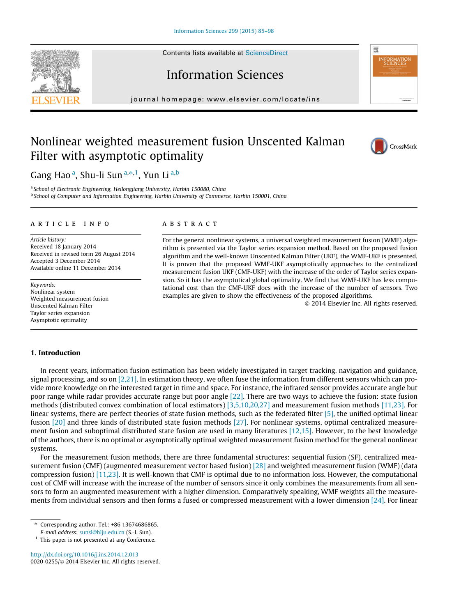Contents lists available at [ScienceDirect](http://www.sciencedirect.com/science/journal/00200255)





# Information Sciences

journal homepage: [www.elsevier.com/locate/ins](http://www.elsevier.com/locate/ins)

# Nonlinear weighted measurement fusion Unscented Kalman Filter with asymptotic optimality



Gang Hao <sup>a</sup>, Shu-li Sun <sup>a, $\ast ,1$ </sup>, Yun Li <sup>a,b</sup>

<sup>a</sup> School of Electronic Engineering, Heilongjiang University, Harbin 150080, China <sup>b</sup> School of Computer and Information Engineering, Harbin University of Commerce, Harbin 150001, China

#### article info

Article history: Received 18 January 2014 Received in revised form 26 August 2014 Accepted 3 December 2014 Available online 11 December 2014

Keywords: Nonlinear system Weighted measurement fusion Unscented Kalman Filter Taylor series expansion Asymptotic optimality

## ABSTRACT

For the general nonlinear systems, a universal weighted measurement fusion (WMF) algorithm is presented via the Taylor series expansion method. Based on the proposed fusion algorithm and the well-known Unscented Kalman Filter (UKF), the WMF-UKF is presented. It is proven that the proposed WMF-UKF asymptotically approaches to the centralized measurement fusion UKF (CMF-UKF) with the increase of the order of Taylor series expansion. So it has the asymptotical global optimality. We find that WMF-UKF has less computational cost than the CMF-UKF does with the increase of the number of sensors. Two examples are given to show the effectiveness of the proposed algorithms.

- 2014 Elsevier Inc. All rights reserved.

## 1. Introduction

In recent years, information fusion estimation has been widely investigated in target tracking, navigation and guidance, signal processing, and so on  $[2,21]$ . In estimation theory, we often fuse the information from different sensors which can provide more knowledge on the interested target in time and space. For instance, the infrared sensor provides accurate angle but poor range while radar provides accurate range but poor angle [\[22\].](#page--1-0) There are two ways to achieve the fusion: state fusion methods (distributed convex combination of local estimators) [\[3,5,10,20,27\]](#page--1-0) and measurement fusion methods [\[11,23\].](#page--1-0) For linear systems, there are perfect theories of state fusion methods, such as the federated filter [\[5\],](#page--1-0) the unified optimal linear fusion [\[20\]](#page--1-0) and three kinds of distributed state fusion methods [\[27\]](#page--1-0). For nonlinear systems, optimal centralized measurement fusion and suboptimal distributed state fusion are used in many literatures [\[12,15\]](#page--1-0). However, to the best knowledge of the authors, there is no optimal or asymptotically optimal weighted measurement fusion method for the general nonlinear systems.

For the measurement fusion methods, there are three fundamental structures: sequential fusion (SF), centralized measurement fusion (CMF) (augmented measurement vector based fusion) [\[28\]](#page--1-0) and weighted measurement fusion (WMF) (data compression fusion) [\[11,23\].](#page--1-0) It is well-known that CMF is optimal due to no information loss. However, the computational cost of CMF will increase with the increase of the number of sensors since it only combines the measurements from all sensors to form an augmented measurement with a higher dimension. Comparatively speaking, WMF weights all the measurements from individual sensors and then forms a fused or compressed measurement with a lower dimension [\[24\].](#page--1-0) For linear

<http://dx.doi.org/10.1016/j.ins.2014.12.013> 0020-0255/© 2014 Elsevier Inc. All rights reserved.

<sup>⇑</sup> Corresponding author. Tel.: +86 13674686865.

E-mail address: [sunsl@hlju.edu.cn](mailto:sunsl@hlju.edu.cn) (S.-l. Sun).

<sup>&</sup>lt;sup>1</sup> This paper is not presented at any Conference.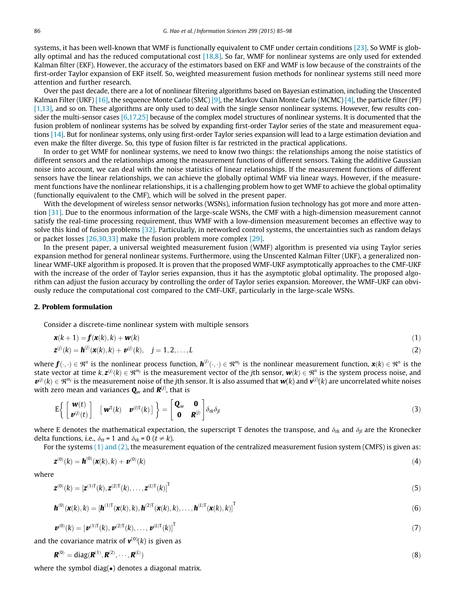systems, it has been well-known that WMF is functionally equivalent to CMF under certain conditions [\[23\]](#page--1-0). So WMF is globally optimal and has the reduced computational cost  $[18,8]$ . So far, WMF for nonlinear systems are only used for extended Kalman filter (EKF). However, the accuracy of the estimators based on EKF and WMF is low because of the constraints of the first-order Taylor expansion of EKF itself. So, weighted measurement fusion methods for nonlinear systems still need more attention and further research.

Over the past decade, there are a lot of nonlinear filtering algorithms based on Bayesian estimation, including the Unscented Kalman Filter (UKF) [\[16\]](#page--1-0), the sequence Monte Carlo (SMC) [\[9\]](#page--1-0), the Markov Chain Monte Carlo (MCMC) [\[4\],](#page--1-0) the particle filter (PF) [\[1,13\],](#page--1-0) and so on. These algorithms are only used to deal with the single sensor nonlinear systems. However, few results consider the multi-sensor cases  $[6,17,25]$  because of the complex model structures of nonlinear systems. It is documented that the fusion problem of nonlinear systems has be solved by expanding first-order Taylor series of the state and measurement equations [\[14\]](#page--1-0). But for nonlinear systems, only using first-order Taylor series expansion will lead to a large estimation deviation and even make the filter diverge. So, this type of fusion filter is far restricted in the practical applications.

In order to get WMF for nonlinear systems, we need to know two things: the relationships among the noise statistics of different sensors and the relationships among the measurement functions of different sensors. Taking the additive Gaussian noise into account, we can deal with the noise statistics of linear relationships. If the measurement functions of different sensors have the linear relationships, we can achieve the globally optimal WMF via linear ways. However, if the measurement functions have the nonlinear relationships, it is a challenging problem how to get WMF to achieve the global optimality (functionally equivalent to the CMF), which will be solved in the present paper.

With the development of wireless sensor networks (WSNs), information fusion technology has got more and more attention [\[31\]](#page--1-0). Due to the enormous information of the large-scale WSNs, the CMF with a high-dimension measurement cannot satisfy the real-time processing requirement, thus WMF with a low-dimension measurement becomes an effective way to solve this kind of fusion problems [\[32\].](#page--1-0) Particularly, in networked control systems, the uncertainties such as random delays or packet losses [\[26,30,33\]](#page--1-0) make the fusion problem more complex [\[29\]](#page--1-0).

In the present paper, a universal weighted measurement fusion (WMF) algorithm is presented via using Taylor series expansion method for general nonlinear systems. Furthermore, using the Unscented Kalman Filter (UKF), a generalized nonlinear WMF-UKF algorithm is proposed. It is proven that the proposed WMF-UKF asymptotically approaches to the CMF-UKF with the increase of the order of Taylor series expansion, thus it has the asymptotic global optimality. The proposed algorithm can adjust the fusion accuracy by controlling the order of Taylor series expansion. Moreover, the WMF-UKF can obviously reduce the computational cost compared to the CMF-UKF, particularly in the large-scale WSNs.

### 2. Problem formulation

Consider a discrete-time nonlinear system with multiple sensors

$$
\mathbf{x}(k+1) = \mathbf{f}(\mathbf{x}(k), k) + \mathbf{w}(k) \tag{1}
$$

$$
\mathbf{z}^{(j)}(k) = \mathbf{h}^{(j)}(\mathbf{x}(k), k) + \mathbf{v}^{(j)}(k), \quad j = 1, 2, ..., L
$$
 (2)

where  $\mathbf{f}(\cdot,\cdot)\in\mathfrak{R}^n$  is the nonlinear process function,  $\mathbf{h}^{(j)}(\cdot,\cdot)\in\mathfrak{R}^{m_j}$  is the nonlinear measurement function,  $\mathbf{x}(k)\in\mathfrak{R}^n$  is the state vector at time k, $\bm{z}^{(j)}(k)\in\mathfrak{R}^{m_j}$  is the measurement vector of the jth sensor,  $\bm{w}(k)\in\mathfrak{R}^n$  is the system process noise, and  $\bm{v}^{(j)}(k)\in\Re^{m_j}$  is the measurement noise of the jth sensor. It is also assumed that  $\bm{w}(k)$  and  $\bm{v}^{(j)}(k)$  are uncorrelated white noises with zero mean and variances  $\mathbf{Q}_w$  and  $\boldsymbol{R}^{(j)}$ , that is

$$
E\left\{\begin{bmatrix} \boldsymbol{w}(t) \\ \boldsymbol{v}^{(j)}(t) \end{bmatrix} \begin{bmatrix} \boldsymbol{w}^{T}(k) & \boldsymbol{v}^{(l)T}(k) \end{bmatrix} \right\} = \begin{bmatrix} \mathbf{Q}_{w} & \mathbf{0} \\ \mathbf{0} & \mathbf{R}^{(j)} \end{bmatrix} \delta_{tk} \delta_{jl}
$$
\n(3)

where E denotes the mathematical expectation, the superscript T denotes the transpose, and  $\delta_{tk}$  and  $\delta_{il}$  are the Kronecker delta functions, i.e.,  $\delta_{tt} = 1$  and  $\delta_{tk} = 0$  ( $t \neq k$ ).

For the systems  $(1)$  and  $(2)$ , the measurement equation of the centralized measurement fusion system (CMFS) is given as:

$$
\mathbf{z}^{(0)}(k) = \mathbf{h}^{(0)}(\mathbf{x}(k),k) + \mathbf{v}^{(0)}(k)
$$
\n<sup>(4)</sup>

where

$$
\mathbf{z}^{(0)}(k) = \left[\mathbf{z}^{(1)T}(k), \mathbf{z}^{(2)T}(k), \dots, \mathbf{z}^{(L)T}(k)\right]^T
$$
\n(5)

$$
\mathbf{h}^{(0)}(\mathbf{x}(k),k) = [\mathbf{h}^{(1)T}(\mathbf{x}(k),k),\mathbf{h}^{(2)T}(\mathbf{x}(k),k),\ldots,\mathbf{h}^{(L)T}(\mathbf{x}(k),k)]^T
$$
\n(6)

$$
\boldsymbol{v}^{(0)}(k) = \left[\boldsymbol{v}^{(1)T}(k), \boldsymbol{v}^{(2)T}(k), \dots, \boldsymbol{v}^{(L)T}(k)\right]^T
$$
\n(7)

and the covariance matrix of  $v^{(0)}(k)$  is given as

$$
\mathbf{R}^{(0)} = \text{diag}(\mathbf{R}^{(1)}, \mathbf{R}^{(2)}, \cdots, \mathbf{R}^{(L)})
$$
\n<sup>(8)</sup>

where the symbol diag( $\bullet$ ) denotes a diagonal matrix.